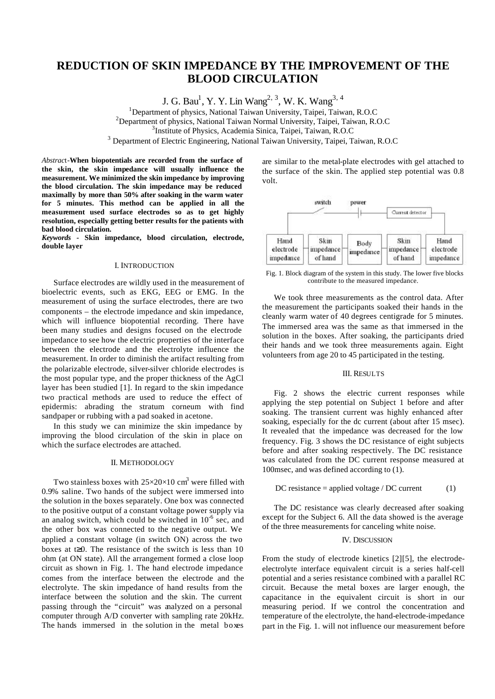# **REDUCTION OF SKIN IMPEDANCE BY THE IMPROVEMENT OF THE BLOOD CIRCULATION**

J. G. Bau<sup>1</sup>, Y. Y. Lin Wang<sup>2, 3</sup>, W. K. Wang<sup>3, 4</sup>

<sup>1</sup>Department of physics, National Taiwan University, Taipei, Taiwan, R.O.C

<sup>2</sup>Department of physics, National Taiwan Normal University, Taipei, Taiwan, R.O.C

3 Institute of Physics, Academia Sinica, Taipei, Taiwan, R.O.C

<sup>3</sup> Department of Electric Engineering, National Taiwan University, Taipei, Taiwan, R.O.C

*Abstrac*t-**When biopotentials are recorded from the surface of the skin, the skin impedance will usually influence the measurement. We minimized the skin impedance by improving the blood circulation. The skin impedance may be reduced maximally by more than 50% after soaking in the warm water for 5 minutes. This method can be applied in all the measurement used surface electrodes so as to get highly resolution, especially getting better results for the patients with bad blood circulation.**

*Keywords -* **Skin impedance, blood circulation, electrode, double layer**

#### I. INTRODUCTION

Surface electrodes are wildly used in the measurement of bioelectric events, such as EKG, EEG or EMG. In the measurement of using the surface electrodes, there are two components – the electrode impedance and skin impedance, which will influence biopotential recording. There have been many studies and designs focused on the electrode impedance to see how the electric properties of the interface between the electrode and the electrolyte influence the measurement. In order to diminish the artifact resulting from the polarizable electrode, silver-silver chloride electrodes is the most popular type, and the proper thickness of the AgCl layer has been studied [1]. In regard to the skin impedance two practical methods are used to reduce the effect of epidermis: abrading the stratum corneum with find sandpaper or rubbing with a pad soaked in acetone.

In this study we can minimize the skin impedance by improving the blood circulation of the skin in place on which the surface electrodes are attached.

## II. METHODOLOGY

Two stainless boxes with  $25\times20\times10$  cm<sup>3</sup> were filled with 0.9% saline. Two hands of the subject were immersed into the solution in the boxes separately. One box was connected to the positive output of a constant voltage power supply via an analog switch, which could be switched in  $10^{-6}$  sec, and the other box was connected to the negative output. We applied a constant voltage (in switch ON) across the two boxes at  $\geq 0$ . The resistance of the switch is less than 10 ohm (at ON state). All the arrangement formed a close loop circuit as shown in Fig. 1. The hand electrode impedance comes from the interface between the electrode and the electrolyte. The skin impedance of hand results from the interface between the solution and the skin. The current passing through the "circuit" was analyzed on a personal computer through A/D converter with sampling rate 20kHz. The hands immersed in the solution in the metal boxes

are similar to the metal-plate electrodes with gel attached to the surface of the skin. The applied step potential was 0.8 volt.



Fig. 1. Block diagram of the system in this study. The lower five blocks contribute to the measured impedance.

We took three measurements as the control data. After the measurement the participants soaked their hands in the cleanly warm water of 40 degrees centigrade for 5 minutes. The immersed area was the same as that immersed in the solution in the boxes. After soaking, the participants dried their hands and we took three measurements again. Eight volunteers from age 20 to 45 participated in the testing.

## III. RESULTS

Fig. 2 shows the electric current responses while applying the step potential on Subject 1 before and after soaking. The transient current was highly enhanced after soaking, especially for the dc current (about after 15 msec). It revealed that the impedance was decreased for the low frequency. Fig. 3 shows the DC resistance of eight subjects before and after soaking respectively. The DC resistance was calculated from the DC current response measured at 100msec, and was defined according to (1).

$$
DC resistance = applied voltage / DC current
$$
 (1)

The DC resistance was clearly decreased after soaking except for the Subject 6. All the data showed is the average of the three measurements for canceling white noise.

# IV. DISCUSSION

From the study of electrode kinetics [2][5], the electrodeelectrolyte interface equivalent circuit is a series half-cell potential and a series resistance combined with a parallel RC circuit. Because the metal boxes are larger enough, the capacitance in the equivalent circuit is short in our measuring period. If we control the concentration and temperature of the electrolyte, the hand-electrode-impedance part in the Fig. 1. will not influence our measurement before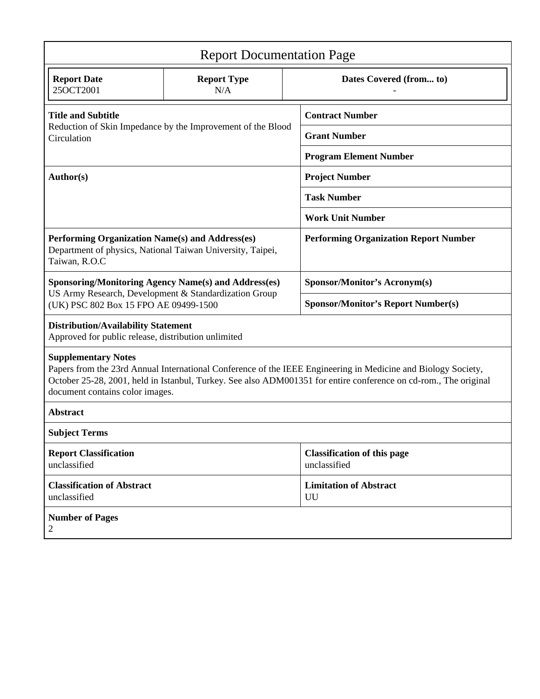| <b>Report Documentation Page</b>                                                                                                                                                                                                                                                                   |                           |                                                    |                                     |  |
|----------------------------------------------------------------------------------------------------------------------------------------------------------------------------------------------------------------------------------------------------------------------------------------------------|---------------------------|----------------------------------------------------|-------------------------------------|--|
| <b>Report Date</b><br>25OCT2001                                                                                                                                                                                                                                                                    | <b>Report Type</b><br>N/A |                                                    | Dates Covered (from to)             |  |
| <b>Title and Subtitle</b><br>Reduction of Skin Impedance by the Improvement of the Blood<br>Circulation                                                                                                                                                                                            |                           | <b>Contract Number</b>                             |                                     |  |
|                                                                                                                                                                                                                                                                                                    |                           |                                                    | <b>Grant Number</b>                 |  |
|                                                                                                                                                                                                                                                                                                    |                           | <b>Program Element Number</b>                      |                                     |  |
| Author(s)                                                                                                                                                                                                                                                                                          |                           | <b>Project Number</b>                              |                                     |  |
|                                                                                                                                                                                                                                                                                                    |                           | <b>Task Number</b>                                 |                                     |  |
|                                                                                                                                                                                                                                                                                                    |                           | <b>Work Unit Number</b>                            |                                     |  |
| Performing Organization Name(s) and Address(es)<br>Department of physics, National Taiwan University, Taipei,<br>Taiwan, R.O.C                                                                                                                                                                     |                           | <b>Performing Organization Report Number</b>       |                                     |  |
| <b>Sponsoring/Monitoring Agency Name(s) and Address(es)</b>                                                                                                                                                                                                                                        |                           |                                                    | Sponsor/Monitor's Acronym(s)        |  |
| US Army Research, Development & Standardization Group<br>(UK) PSC 802 Box 15 FPO AE 09499-1500                                                                                                                                                                                                     |                           | <b>Sponsor/Monitor's Report Number(s)</b>          |                                     |  |
| <b>Distribution/Availability Statement</b><br>Approved for public release, distribution unlimited                                                                                                                                                                                                  |                           |                                                    |                                     |  |
| <b>Supplementary Notes</b><br>Papers from the 23rd Annual International Conference of the IEEE Engineering in Medicine and Biology Society,<br>October 25-28, 2001, held in Istanbul, Turkey. See also ADM001351 for entire conference on cd-rom., The original<br>document contains color images. |                           |                                                    |                                     |  |
| <b>Abstract</b>                                                                                                                                                                                                                                                                                    |                           |                                                    |                                     |  |
| <b>Subject Terms</b>                                                                                                                                                                                                                                                                               |                           |                                                    |                                     |  |
| <b>Report Classification</b><br>unclassified                                                                                                                                                                                                                                                       |                           | <b>Classification of this page</b><br>unclassified |                                     |  |
| <b>Classification of Abstract</b><br>unclassified                                                                                                                                                                                                                                                  |                           |                                                    | <b>Limitation of Abstract</b><br>UU |  |
| <b>Number of Pages</b><br>2                                                                                                                                                                                                                                                                        |                           |                                                    |                                     |  |